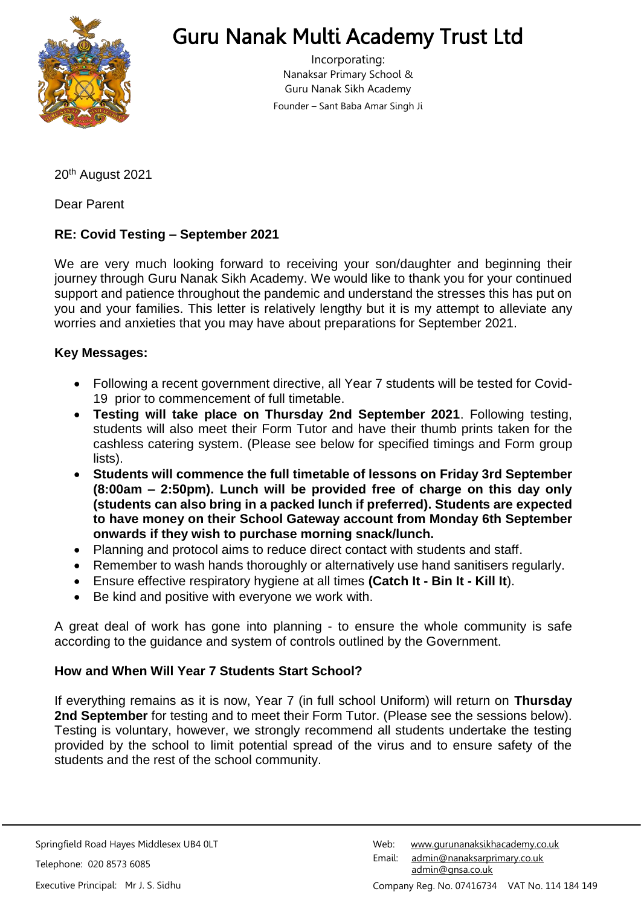

# Guru Nanak Multi Academy Trust Ltd

Incorporating: Nanaksar Primary School & Guru Nanak Sikh Academy Founder – Sant Baba Amar Singh Ji

20th August 2021

Dear Parent

### **RE: Covid Testing – September 2021**

We are very much looking forward to receiving your son/daughter and beginning their journey through Guru Nanak Sikh Academy. We would like to thank you for your continued support and patience throughout the pandemic and understand the stresses this has put on you and your families. This letter is relatively lengthy but it is my attempt to alleviate any worries and anxieties that you may have about preparations for September 2021.

#### **Key Messages:**

- Following a recent government directive, all Year 7 students will be tested for Covid-19 prior to commencement of full timetable.
- **Testing will take place on Thursday 2nd September 2021**. Following testing, students will also meet their Form Tutor and have their thumb prints taken for the cashless catering system. (Please see below for specified timings and Form group lists).
- **Students will commence the full timetable of lessons on Friday 3rd September (8:00am – 2:50pm). Lunch will be provided free of charge on this day only (students can also bring in a packed lunch if preferred). Students are expected to have money on their School Gateway account from Monday 6th September onwards if they wish to purchase morning snack/lunch.**
- Planning and protocol aims to reduce direct contact with students and staff.
- Remember to wash hands thoroughly or alternatively use hand sanitisers regularly.
- Ensure effective respiratory hygiene at all times **(Catch It - Bin It - Kill It**).
- Be kind and positive with everyone we work with.

A great deal of work has gone into planning - to ensure the whole community is safe according to the guidance and system of controls outlined by the Government.

#### **How and When Will Year 7 Students Start School?**

If everything remains as it is now, Year 7 (in full school Uniform) will return on **Thursday 2nd September** for testing and to meet their Form Tutor. (Please see the sessions below). Testing is voluntary, however, we strongly recommend all students undertake the testing provided by the school to limit potential spread of the virus and to ensure safety of the students and the rest of the school community.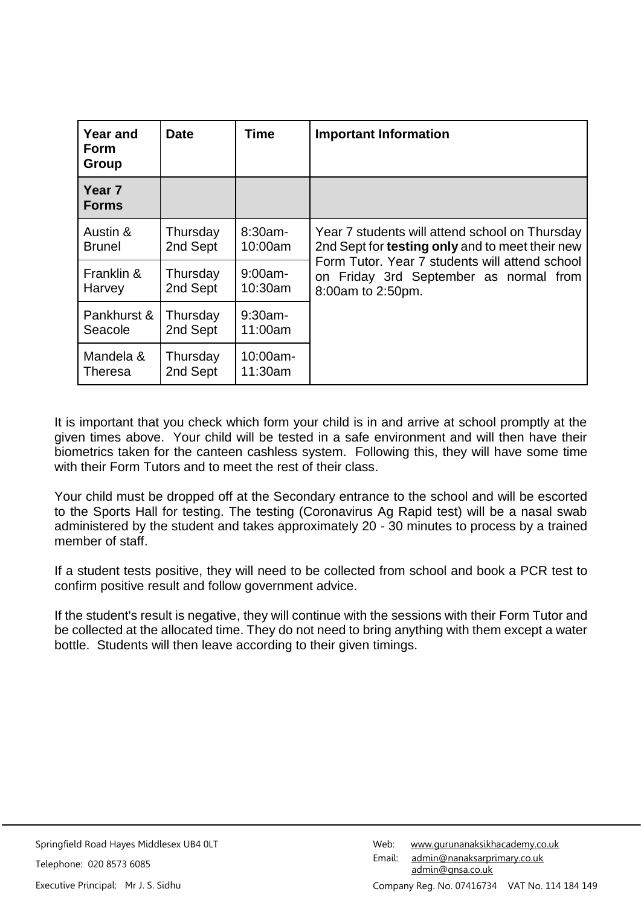| <b>Year and</b><br><b>Form</b><br>Group | <b>Date</b>          | <b>Time</b>           | <b>Important Information</b>                                                                                  |  |
|-----------------------------------------|----------------------|-----------------------|---------------------------------------------------------------------------------------------------------------|--|
| Year <sub>7</sub><br><b>Forms</b>       |                      |                       |                                                                                                               |  |
| Austin &                                | Thursday             | $8:30am -$            | Year 7 students will attend school on Thursday                                                                |  |
| <b>Brunel</b>                           | 2nd Sept             | 10:00am               | 2nd Sept for testing only and to meet their new                                                               |  |
| Franklin &<br>Harvey                    | Thursday<br>2nd Sept | $9:00$ am-<br>10:30am | Form Tutor, Year 7 students will attend school<br>on Friday 3rd September as normal from<br>8:00am to 2:50pm. |  |
| Pankhurst &                             | Thursday             | $9:30$ am-            |                                                                                                               |  |
| Seacole                                 | 2nd Sept             | 11:00am               |                                                                                                               |  |
| Mandela &                               | Thursday             | $10:00am -$           |                                                                                                               |  |
| <b>Theresa</b>                          | 2nd Sept             | 11:30am               |                                                                                                               |  |

It is important that you check which form your child is in and arrive at school promptly at the given times above. Your child will be tested in a safe environment and will then have their biometrics taken for the canteen cashless system. Following this, they will have some time with their Form Tutors and to meet the rest of their class.

Your child must be dropped off at the Secondary entrance to the school and will be escorted to the Sports Hall for testing. The testing (Coronavirus Ag Rapid test) will be a nasal swab administered by the student and takes approximately 20 - 30 minutes to process by a trained member of staff.

If a student tests positive, they will need to be collected from school and book a PCR test to confirm positive result and follow government advice.

If the student's result is negative, they will continue with the sessions with their Form Tutor and be collected at the allocated time. They do not need to bring anything with them except a water bottle. Students will then leave according to their given timings.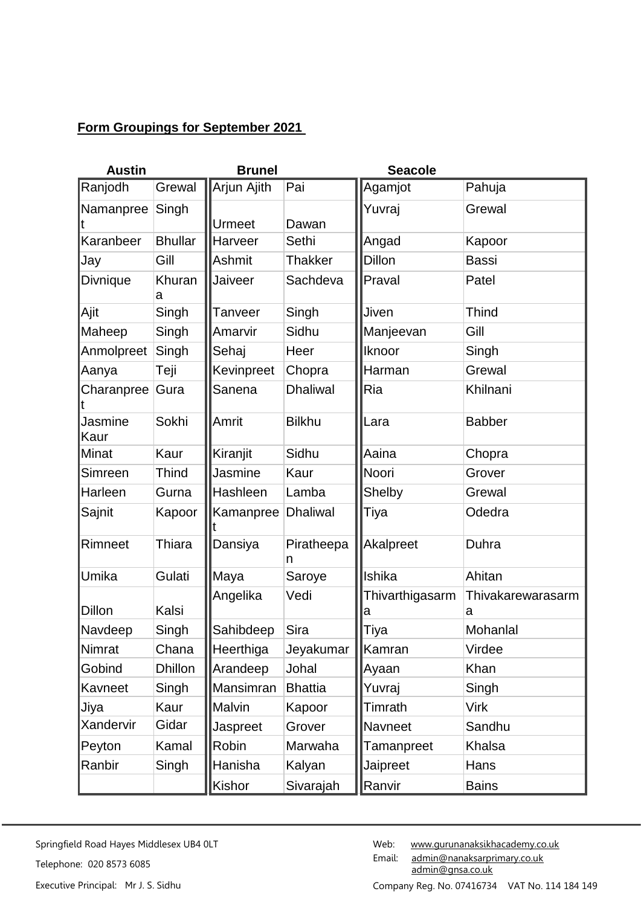## **Form Groupings for September 2021**

| <b>Austin</b>   |                | <b>Brunel</b> |                 | <b>Seacole</b>       |                        |
|-----------------|----------------|---------------|-----------------|----------------------|------------------------|
| Ranjodh         | Grewal         | Arjun Ajith   | Pai             | Agamjot              | Pahuja                 |
| Namanpree       | Singh          |               |                 | Yuvraj               | Grewal                 |
|                 |                | Urmeet        | Dawan           |                      |                        |
| Karanbeer       | <b>Bhullar</b> | Harveer       | Sethi           | Angad                | Kapoor                 |
| Jay             | Gill           | Ashmit        | Thakker         | <b>Dillon</b>        | <b>Bassi</b>           |
| <b>Divnique</b> | Khuran<br>a    | Jaiveer       | Sachdeva        | Praval               | Patel                  |
| Ajit            | Singh          | Tanveer       | Singh           | Jiven                | <b>Thind</b>           |
| Maheep          | Singh          | Amarvir       | Sidhu           | Manjeevan            | Gill                   |
| Anmolpreet      | Singh          | Sehaj         | Heer            | Iknoor               | Singh                  |
| Aanya           | Teji           | Kevinpreet    | Chopra          | Harman               | Grewal                 |
| Charanpree      | Gura           | Sanena        | <b>Dhaliwal</b> | Ria                  | Khilnani               |
| Jasmine<br>Kaur | Sokhi          | Amrit         | <b>Bilkhu</b>   | Lara                 | <b>Babber</b>          |
| Minat           | Kaur           | Kiranjit      | Sidhu           | Aaina                | Chopra                 |
| Simreen         | Thind          | Jasmine       | Kaur            | Noori                | Grover                 |
| Harleen         | Gurna          | Hashleen      | Lamba           | Shelby               | Grewal                 |
| Sajnit          | Kapoor         | Kamanpree     | <b>Dhaliwal</b> | Tiya                 | Odedra                 |
| Rimneet         | <b>Thiara</b>  | Dansiya       | Piratheepa<br>n | Akalpreet            | Duhra                  |
| Umika           | Gulati         | Maya          | Saroye          | Ishika               | Ahitan                 |
| <b>Dillon</b>   | Kalsi          | Angelika      | Vedi            | Thivarthigasarm<br>а | Thivakarewarasarm<br>a |
| Navdeep         | Singh          | Sahibdeep     | Sira            | Tiya                 | Mohanlal               |
| Nimrat          | Chana          | Heerthiga     | Jeyakumar       | Kamran               | Virdee                 |
| Gobind          | <b>Dhillon</b> | Arandeep      | Johal           | Ayaan                | Khan                   |
| Kavneet         | Singh          | Mansimran     | <b>Bhattia</b>  | Yuvraj               | Singh                  |
| Jiya            | Kaur           | Malvin        | Kapoor          | Timrath              | <b>Virk</b>            |
| Xandervir       | Gidar          | Jaspreet      | Grover          | Navneet              | Sandhu                 |
| Peyton          | Kamal          | Robin         | Marwaha         | Tamanpreet           | Khalsa                 |
| Ranbir          | Singh          | Hanisha       | Kalyan          | Jaipreet             | Hans                   |
|                 |                | Kishor        | Sivarajah       | Ranvir               | <b>Bains</b>           |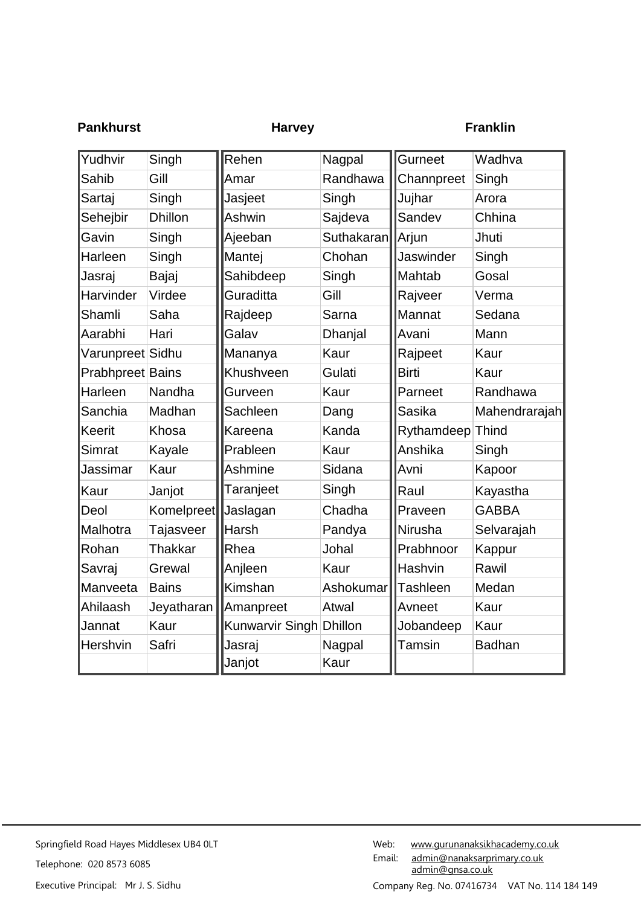| <b>Pankhurst</b> |                | <b>Harvey</b>   |                |                  | <b>Franklin</b> |
|------------------|----------------|-----------------|----------------|------------------|-----------------|
| Yudhvir          | Singh          | Rehen           | Nagpal         | Gurneet          | Wadhva          |
| Sahib            | Gill           | Amar            | Randhawa       | Channpreet       | Singh           |
| Sartaj           | Singh          | Jasjeet         | Singh          | Jujhar           | Arora           |
| Sehejbir         | <b>Dhillon</b> | Ashwin          | Sajdeva        | Sandev           | Chhina          |
| Gavin            | Singh          | Ajeeban         | Suthakaran     | Arjun            | Jhuti           |
| Harleen          | Singh          | Mantej          | Chohan         | Jaswinder        | Singh           |
| Jasraj           | Bajaj          | Sahibdeep       | Singh          | Mahtab           | Gosal           |
| Harvinder        | Virdee         | Guraditta       | Gill           | Rajveer          | Verma           |
| Shamli           | Saha           | Rajdeep         | Sarna          | Mannat           | Sedana          |
| Aarabhi          | Hari           | Galav           | Dhanjal        | Avani            | Mann            |
| Varunpreet Sidhu |                | Mananya         | Kaur           | Rajpeet          | Kaur            |
| Prabhpreet Bains |                | Khushveen       | Gulati         | <b>Birti</b>     | Kaur            |
| Harleen          | Nandha         | Gurveen         | Kaur           | Parneet          | Randhawa        |
| Sanchia          | Madhan         | Sachleen        | Dang           | Sasika           | Mahendrarajah   |
| Keerit           | Khosa          | Kareena         | Kanda          | Rythamdeep Thind |                 |
| Simrat           | Kayale         | Prableen        | Kaur           | Anshika          | Singh           |
| Jassimar         | Kaur           | Ashmine         | Sidana         | Avni             | Kapoor          |
| Kaur             | Janjot         | Taranjeet       | Singh          | Raul             | Kayastha        |
| Deol             | Komelpreet     | Jaslagan        | Chadha         | Praveen          | <b>GABBA</b>    |
| Malhotra         | Tajasveer      | Harsh           | Pandya         | Nirusha          | Selvarajah      |
| Rohan            | <b>Thakkar</b> | Rhea            | Johal          | Prabhnoor        | Kappur          |
| Savraj           | Grewal         | Anjleen         | Kaur           | Hashvin          | Rawil           |
| Manveeta         | <b>Bains</b>   | Kimshan         | Ashokumar      | Tashleen         | Medan           |
| Ahilaash         | Jeyatharan     | Amanpreet       | Atwal          | Avneet           | Kaur            |
| Jannat           | Kaur           | Kunwarvir Singh | <b>Dhillon</b> | Jobandeep        | Kaur            |
| Hershvin         | Safri          | Jasraj          | Nagpal         | Tamsin           | <b>Badhan</b>   |
|                  |                | Janjot          | Kaur           |                  |                 |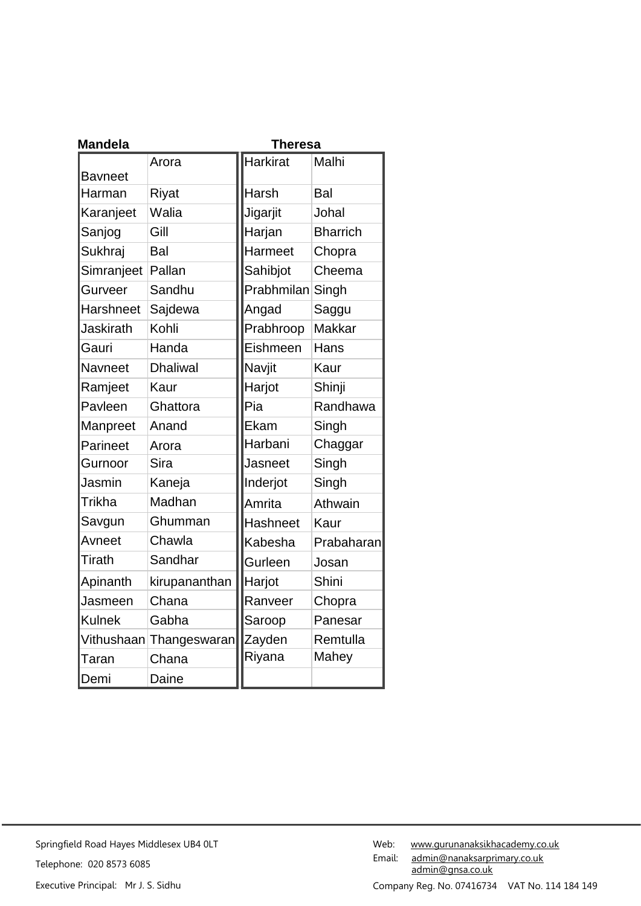| <b>Mandela</b>   |                 | <b>Theresa</b>  |                 |
|------------------|-----------------|-----------------|-----------------|
|                  | Arora           | <b>Harkirat</b> | Malhi           |
| <b>Bavneet</b>   |                 |                 |                 |
| Harman           | <b>Riyat</b>    | Harsh           | Bal             |
| Karanjeet        | Walia           | Jigarjit        | Johal           |
| Sanjog           | Gill            | Harjan          | <b>Bharrich</b> |
| Sukhraj          | Bal             | Harmeet         | Chopra          |
| Simranjeet       | Pallan          | Sahibjot        | Cheema          |
| Gurveer          | Sandhu          | Prabhmilan      | Singh           |
| <b>Harshneet</b> | Sajdewa         | Angad           | Saggu           |
| Jaskirath        | Kohli           | Prabhroop       | <b>Makkar</b>   |
| Gauri            | Handa           | Eishmeen        | Hans            |
| <b>Navneet</b>   | <b>Dhaliwal</b> | Navjit          | Kaur            |
| Ramjeet          | Kaur            | Harjot          | Shinji          |
| Pavleen          | Ghattora        | Pia             | Randhawa        |
| Manpreet         | Anand           | Ekam            | Singh           |
| Parineet         | Arora           | Harbani         | Chaggar         |
| Gurnoor          | Sira            | Jasneet         | Singh           |
| Jasmin           | Kaneja          | Inderjot        | Singh           |
| Trikha           | Madhan          | Amrita          | Athwain         |
| Savgun           | Ghumman         | <b>Hashneet</b> | Kaur            |
| Avneet           | Chawla          | Kabesha         | Prabaharan      |
| Tirath           | Sandhar         | Gurleen         | Josan           |
| Apinanth         | kirupananthan   | Harjot          | Shini           |
| Jasmeen          | Chana           | Ranveer         | Chopra          |
| <b>Kulnek</b>    | Gabha           | Saroop          | Panesar         |
| Vithushaan       | Thangeswaran    | Zayden          | Remtulla        |
| Taran            | Chana           | Riyana          | Mahey           |
| Demi             | Daine           |                 |                 |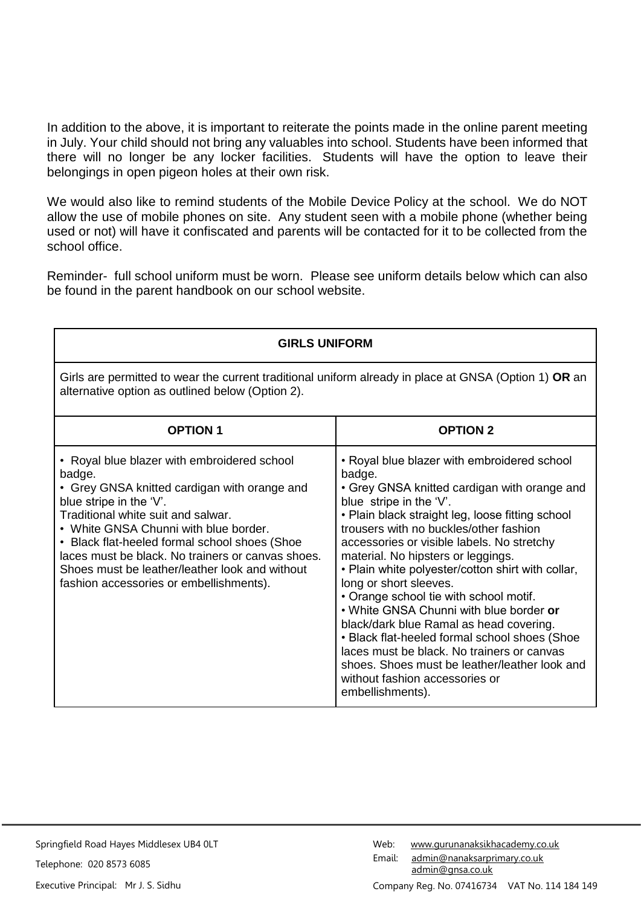In addition to the above, it is important to reiterate the points made in the online parent meeting in July. Your child should not bring any valuables into school. Students have been informed that there will no longer be any locker facilities. Students will have the option to leave their belongings in open pigeon holes at their own risk.

We would also like to remind students of the Mobile Device Policy at the school. We do NOT allow the use of mobile phones on site. Any student seen with a mobile phone (whether being used or not) will have it confiscated and parents will be contacted for it to be collected from the school office.

Reminder- full school uniform must be worn. Please see uniform details below which can also be found in the parent handbook on our school website.

| <b>GIRLS UNIFORM</b>                                                                                                                                                                                                                                                                                                                                                                                               |                                                                                                                                                                                                                                                                                                                                                                                                                                                                                                                                                                                                                                                                                                                                         |  |  |
|--------------------------------------------------------------------------------------------------------------------------------------------------------------------------------------------------------------------------------------------------------------------------------------------------------------------------------------------------------------------------------------------------------------------|-----------------------------------------------------------------------------------------------------------------------------------------------------------------------------------------------------------------------------------------------------------------------------------------------------------------------------------------------------------------------------------------------------------------------------------------------------------------------------------------------------------------------------------------------------------------------------------------------------------------------------------------------------------------------------------------------------------------------------------------|--|--|
| Girls are permitted to wear the current traditional uniform already in place at GNSA (Option 1) OR an<br>alternative option as outlined below (Option 2).                                                                                                                                                                                                                                                          |                                                                                                                                                                                                                                                                                                                                                                                                                                                                                                                                                                                                                                                                                                                                         |  |  |
| <b>OPTION 1</b>                                                                                                                                                                                                                                                                                                                                                                                                    | <b>OPTION 2</b>                                                                                                                                                                                                                                                                                                                                                                                                                                                                                                                                                                                                                                                                                                                         |  |  |
| • Royal blue blazer with embroidered school<br>badge.<br>• Grey GNSA knitted cardigan with orange and<br>blue stripe in the 'V'.<br>Traditional white suit and salwar.<br>• White GNSA Chunni with blue border.<br>• Black flat-heeled formal school shoes (Shoe<br>laces must be black. No trainers or canvas shoes.<br>Shoes must be leather/leather look and without<br>fashion accessories or embellishments). | • Royal blue blazer with embroidered school<br>badge.<br>• Grey GNSA knitted cardigan with orange and<br>blue stripe in the 'V'.<br>• Plain black straight leg, loose fitting school<br>trousers with no buckles/other fashion<br>accessories or visible labels. No stretchy<br>material. No hipsters or leggings.<br>. Plain white polyester/cotton shirt with collar,<br>long or short sleeves.<br>• Orange school tie with school motif.<br>. White GNSA Chunni with blue border or<br>black/dark blue Ramal as head covering.<br>• Black flat-heeled formal school shoes (Shoe<br>laces must be black. No trainers or canvas<br>shoes. Shoes must be leather/leather look and<br>without fashion accessories or<br>embellishments). |  |  |